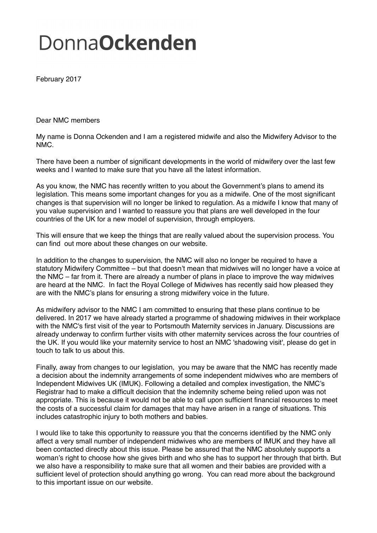## **DonnaOckenden**

February 2017

Dear NMC members

My name is Donna Ockenden and I am a registered midwife and also the Midwifery Advisor to the NMC.

There have been a number of significant developments in the world of midwifery over the last few weeks and I wanted to make sure that you have all the latest information.

As you know, the NMC has recently written to you about the Government's plans to amend its legislation. This means some important changes for you as a midwife. One of the most significant changes is that supervision will no longer be linked to regulation. As a midwife I know that many of you value supervision and I wanted to reassure you that plans are well developed in the four countries of the UK for a new model of supervision, through employers.

This will ensure that we keep the things that are really valued about the supervision process. You can find out more about these changes on our website.

In addition to the changes to supervision, the NMC will also no longer be required to have a statutory Midwifery Committee – but that doesn't mean that midwives will no longer have a voice at the NMC – far from it. There are already a number of plans in place to improve the way midwives are heard at the NMC. In fact the Royal College of Midwives has recently said how pleased they are with the NMC's plans for ensuring a strong midwifery voice in the future.

As midwifery advisor to the NMC I am committed to ensuring that these plans continue to be delivered. In 2017 we have already started a programme of shadowing midwives in their workplace with the NMC's first visit of the year to Portsmouth Maternity services in January. Discussions are already underway to confirm further visits with other maternity services across the four countries of the UK. If you would like your maternity service to host an NMC 'shadowing visit', please do get in touch to talk to us about this.

Finally, away from changes to our legislation, you may be aware that the NMC has recently made a decision about the indemnity arrangements of some independent midwives who are members of Independent Midwives UK (IMUK). Following a detailed and complex investigation, the NMC's Registrar had to make a difficult decision that the indemnity scheme being relied upon was not appropriate. This is because it would not be able to call upon sufficient financial resources to meet the costs of a successful claim for damages that may have arisen in a range of situations. This includes catastrophic injury to both mothers and babies.

I would like to take this opportunity to reassure you that the concerns identified by the NMC only affect a very small number of independent midwives who are members of IMUK and they have all been contacted directly about this issue. Please be assured that the NMC absolutely supports a woman's right to choose how she gives birth and who she has to support her through that birth. But we also have a responsibility to make sure that all women and their babies are provided with a sufficient level of protection should anything go wrong. You can read more about the background to this important issue on our website.